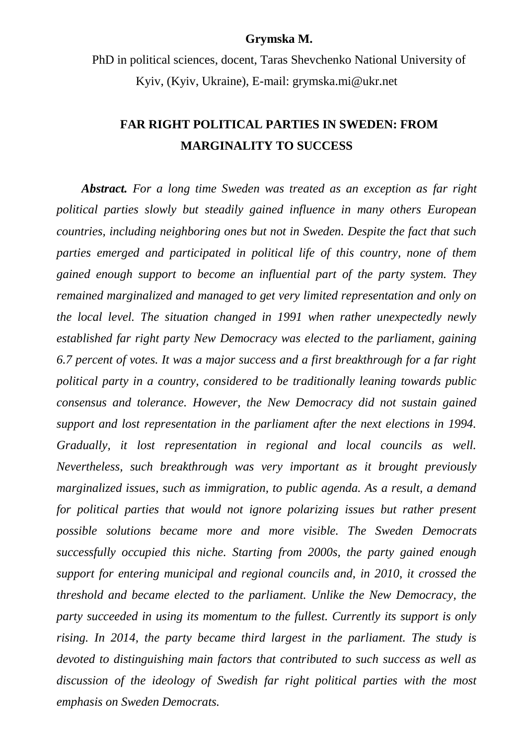## **Grymska M.**

PhD in political sciences, docent, Taras Shevchenko National University of Kyiv, (Kyiv, Ukraine), E-mail: grymska.mi@ukr.net

## **FAR RIGHT POLITICAL PARTIES IN SWEDEN: FROM MARGINALITY TO SUCCESS**

*Abstract. For a long time Sweden was treated as an exception as far right political parties slowly but steadily gained influence in many others European countries, including neighboring ones but not in Sweden. Despite the fact that such parties emerged and participated in political life of this country, none of them gained enough support to become an influential part of the party system. They remained marginalized and managed to get very limited representation and only on the local level. The situation changed in 1991 when rather unexpectedly newly established far right party New Democracy was elected to the parliament, gaining 6.7 percent of votes. It was a major success and a first breakthrough for a far right political party in a country, considered to be traditionally leaning towards public consensus and tolerance. However, the New Democracy did not sustain gained support and lost representation in the parliament after the next elections in 1994. Gradually, it lost representation in regional and local councils as well. Nevertheless, such breakthrough was very important as it brought previously marginalized issues, such as immigration, to public agenda. As a result, a demand for political parties that would not ignore polarizing issues but rather present possible solutions became more and more visible. The Sweden Democrats successfully occupied this niche. Starting from 2000s, the party gained enough support for entering municipal and regional councils and, in 2010, it crossed the threshold and became elected to the parliament. Unlike the New Democracy, the party succeeded in using its momentum to the fullest. Currently its support is only rising. In 2014, the party became third largest in the parliament. The study is devoted to distinguishing main factors that contributed to such success as well as discussion of the ideology of Swedish far right political parties with the most emphasis on Sweden Democrats.*